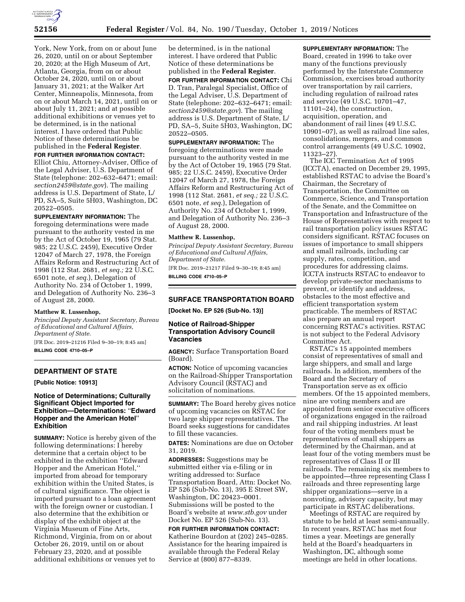

York, New York, from on or about June 26, 2020, until on or about September 20, 2020; at the High Museum of Art, Atlanta, Georgia, from on or about October 24, 2020, until on or about January 31, 2021; at the Walker Art Center, Minneapolis, Minnesota, from on or about March 14, 2021, until on or about July 11, 2021; and at possible additional exhibitions or venues yet to be determined, is in the national interest. I have ordered that Public Notice of these determinations be published in the **Federal Register**.

#### **FOR FURTHER INFORMATION CONTACT:**

Elliot Chiu, Attorney-Adviser, Office of the Legal Adviser, U.S. Department of State (telephone: 202–632–6471; email: *section2459@state.gov*). The mailing address is U.S. Department of State, L/ PD, SA–5, Suite 5H03, Washington, DC 20522–0505.

**SUPPLEMENTARY INFORMATION:** The foregoing determinations were made pursuant to the authority vested in me  $\bar{b}$ y the Act of October 19, 1965 (79 Stat. 985; 22 U.S.C. 2459), Executive Order 12047 of March 27, 1978, the Foreign Affairs Reform and Restructuring Act of 1998 (112 Stat. 2681, *et seq.;* 22 U.S.C. 6501 note, *et seq.*), Delegation of Authority No. 234 of October 1, 1999, and Delegation of Authority No. 236–3 of August 28, 2000.

### **Matthew R. Lussenhop,**

*Principal Deputy Assistant Secretary, Bureau of Educational and Cultural Affairs, Department of State.* 

[FR Doc. 2019–21216 Filed 9–30–19; 8:45 am] **BILLING CODE 4710–05–P** 

## **DEPARTMENT OF STATE**

**[Public Notice: 10913]** 

## **Notice of Determinations; Culturally Significant Object Imported for Exhibition—Determinations:** ''**Edward Hopper and the American Hotel**'' **Exhibition**

**SUMMARY:** Notice is hereby given of the following determinations: I hereby determine that a certain object to be exhibited in the exhibition ''Edward Hopper and the American Hotel,'' imported from abroad for temporary exhibition within the United States, is of cultural significance. The object is imported pursuant to a loan agreement with the foreign owner or custodian. I also determine that the exhibition or display of the exhibit object at the Virginia Museum of Fine Arts, Richmond, Virginia, from on or about October 26, 2019, until on or about February 23, 2020, and at possible additional exhibitions or venues yet to

be determined, is in the national interest. I have ordered that Public Notice of these determinations be published in the **Federal Register**.

**FOR FURTHER INFORMATION CONTACT:** Chi D. Tran, Paralegal Specialist, Office of the Legal Adviser, U.S. Department of State (telephone: 202–632–6471; email: *section2459@state.gov*). The mailing address is U.S. Department of State, L/ PD, SA–5, Suite 5H03, Washington, DC 20522–0505.

**SUPPLEMENTARY INFORMATION:** The foregoing determinations were made pursuant to the authority vested in me by the Act of October 19, 1965 (79 Stat. 985; 22 U.S.C. 2459), Executive Order 12047 of March 27, 1978, the Foreign Affairs Reform and Restructuring Act of 1998 (112 Stat. 2681, *et seq.;* 22 U.S.C. 6501 note, *et seq.*), Delegation of Authority No. 234 of October 1, 1999, and Delegation of Authority No. 236–3 of August 28, 2000.

## **Matthew R. Lussenhop,**

*Principal Deputy Assistant Secretary, Bureau of Educational and Cultural Affairs, Department of State.* 

[FR Doc. 2019–21217 Filed 9–30–19; 8:45 am] **BILLING CODE 4710–05–P** 

#### **SURFACE TRANSPORTATION BOARD**

**[Docket No. EP 526 (Sub-No. 13)]** 

## **Notice of Railroad-Shipper Transportation Advisory Council Vacancies**

**AGENCY:** Surface Transportation Board (Board).

**ACTION:** Notice of upcoming vacancies on the Railroad-Shipper Transportation Advisory Council (RSTAC) and solicitation of nominations.

**SUMMARY:** The Board hereby gives notice of upcoming vacancies on RSTAC for two large shipper representatives. The Board seeks suggestions for candidates to fill these vacancies.

**DATES:** Nominations are due on October 31, 2019.

**ADDRESSES:** Suggestions may be submitted either via e-filing or in writing addressed to: Surface Transportation Board, Attn: Docket No. EP 526 (Sub-No. 13), 395 E Street SW, Washington, DC 20423–0001. Submissions will be posted to the Board's website at *www.stb.gov* under Docket No. EP 526 (Sub-No. 13).

**FOR FURTHER INFORMATION CONTACT:**  Katherine Bourdon at (202) 245–0285. Assistance for the hearing impaired is available through the Federal Relay Service at (800) 877–8339.

**SUPPLEMENTARY INFORMATION:** The Board, created in 1996 to take over many of the functions previously performed by the Interstate Commerce Commission, exercises broad authority over transportation by rail carriers, including regulation of railroad rates and service (49 U.S.C. 10701–47, 11101–24), the construction, acquisition, operation, and abandonment of rail lines (49 U.S.C. 10901–07), as well as railroad line sales, consolidations, mergers, and common control arrangements (49 U.S.C. 10902, 11323–27).

The ICC Termination Act of 1995 (ICCTA), enacted on December 29, 1995, established RSTAC to advise the Board's Chairman, the Secretary of Transportation, the Committee on Commerce, Science, and Transportation of the Senate, and the Committee on Transportation and Infrastructure of the House of Representatives with respect to rail transportation policy issues RSTAC considers significant. RSTAC focuses on issues of importance to small shippers and small railroads, including car supply, rates, competition, and procedures for addressing claims. ICCTA instructs RSTAC to endeavor to develop private-sector mechanisms to prevent, or identify and address, obstacles to the most effective and efficient transportation system practicable. The members of RSTAC also prepare an annual report concerning RSTAC's activities. RSTAC is not subject to the Federal Advisory Committee Act.

RSTAC's 15 appointed members consist of representatives of small and large shippers, and small and large railroads. In addition, members of the Board and the Secretary of Transportation serve as ex officio members. Of the 15 appointed members, nine are voting members and are appointed from senior executive officers of organizations engaged in the railroad and rail shipping industries. At least four of the voting members must be representatives of small shippers as determined by the Chairman, and at least four of the voting members must be representatives of Class II or III railroads. The remaining six members to be appointed—three representing Class I railroads and three representing large shipper organizations—serve in a nonvoting, advisory capacity, but may participate in RSTAC deliberations.

Meetings of RSTAC are required by statute to be held at least semi-annually. In recent years, RSTAC has met four times a year. Meetings are generally held at the Board's headquarters in Washington, DC, although some meetings are held in other locations.